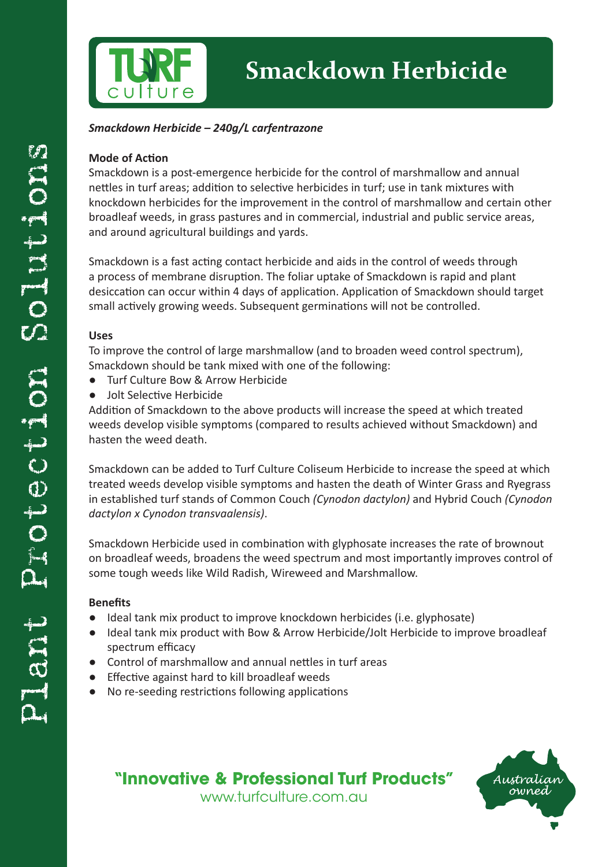

# **Smackdown Herbicide**

#### *Smackdown Herbicide – 240g/L carfentrazone*

#### **Mode of Action**

Smackdown is a post-emergence herbicide for the control of marshmallow and annual nettles in turf areas; addition to selective herbicides in turf; use in tank mixtures with knockdown herbicides for the improvement in the control of marshmallow and certain other broadleaf weeds, in grass pastures and in commercial, industrial and public service areas, and around agricultural buildings and yards.

Smackdown is a fast acting contact herbicide and aids in the control of weeds through a process of membrane disruption. The foliar uptake of Smackdown is rapid and plant desiccation can occur within 4 days of application. Application of Smackdown should target small actively growing weeds. Subsequent germinations will not be controlled.

#### **Uses**

To improve the control of large marshmallow (and to broaden weed control spectrum), Smackdown should be tank mixed with one of the following:

- Turf Culture Bow & Arrow Herbicide
- **Jolt Selective Herbicide**

Addition of Smackdown to the above products will increase the speed at which treated weeds develop visible symptoms (compared to results achieved without Smackdown) and hasten the weed death.

Smackdown can be added to Turf Culture Coliseum Herbicide to increase the speed at which treated weeds develop visible symptoms and hasten the death of Winter Grass and Ryegrass in established turf stands of Common Couch *(Cynodon dactylon)* and Hybrid Couch *(Cynodon dactylon x Cynodon transvaalensis)*.

Smackdown Herbicide used in combination with glyphosate increases the rate of brownout on broadleaf weeds, broadens the weed spectrum and most importantly improves control of some tough weeds like Wild Radish, Wireweed and Marshmallow.

#### **Benefits**

- Ideal tank mix product to improve knockdown herbicides (i.e. glyphosate)
- Ideal tank mix product with Bow & Arrow Herbicide/Jolt Herbicide to improve broadleaf spectrum efficacy
- Control of marshmallow and annual nettles in turf areas
- Effective against hard to kill broadleaf weeds
- No re-seeding restrictions following applications

### **"Innovative & Professional Turf Products"**

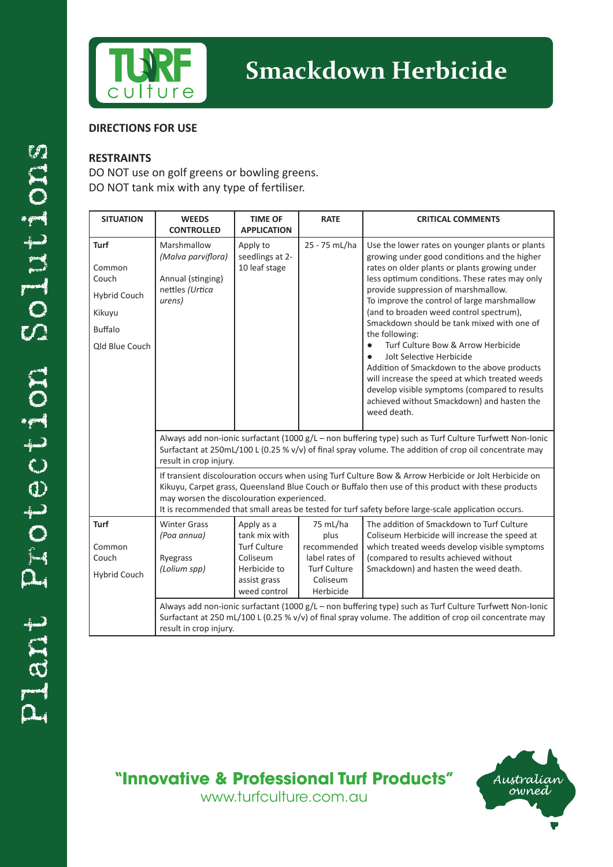

#### **DIRECTIONS FOR USE**

#### **RESTRAINTS**

DO NOT use on golf greens or bowling greens. DO NOT tank mix with any type of fertiliser.

| <b>SITUATION</b>                                                                      | <b>WEEDS</b><br><b>CONTROLLED</b>                                                                                                                                                                                                                                                                                                                                                                                                                                                                                                                                                                                | <b>TIME OF</b><br><b>APPLICATION</b>                                                                           | <b>RATE</b>                                                                                       | <b>CRITICAL COMMENTS</b>                                                                                                                                                                                                                                                                                                                                                                                                                                                                                                                                                                                                                                                                         |  |  |
|---------------------------------------------------------------------------------------|------------------------------------------------------------------------------------------------------------------------------------------------------------------------------------------------------------------------------------------------------------------------------------------------------------------------------------------------------------------------------------------------------------------------------------------------------------------------------------------------------------------------------------------------------------------------------------------------------------------|----------------------------------------------------------------------------------------------------------------|---------------------------------------------------------------------------------------------------|--------------------------------------------------------------------------------------------------------------------------------------------------------------------------------------------------------------------------------------------------------------------------------------------------------------------------------------------------------------------------------------------------------------------------------------------------------------------------------------------------------------------------------------------------------------------------------------------------------------------------------------------------------------------------------------------------|--|--|
| Turf<br>Common<br>Couch<br>Hybrid Couch<br>Kikuyu<br><b>Buffalo</b><br>Qld Blue Couch | Marshmallow<br>(Malva parviflora)<br>Annual (stinging)<br>nettles (Urtica<br>urens)                                                                                                                                                                                                                                                                                                                                                                                                                                                                                                                              | Apply to<br>seedlings at 2-<br>10 leaf stage                                                                   | 25 - 75 mL/ha                                                                                     | Use the lower rates on younger plants or plants<br>growing under good conditions and the higher<br>rates on older plants or plants growing under<br>less optimum conditions. These rates may only<br>provide suppression of marshmallow.<br>To improve the control of large marshmallow<br>(and to broaden weed control spectrum),<br>Smackdown should be tank mixed with one of<br>the following:<br>Turf Culture Bow & Arrow Herbicide<br>$\bullet$<br>Jolt Selective Herbicide<br>Addition of Smackdown to the above products<br>will increase the speed at which treated weeds<br>develop visible symptoms (compared to results<br>achieved without Smackdown) and hasten the<br>weed death. |  |  |
|                                                                                       | Always add non-ionic surfactant (1000 g/L - non buffering type) such as Turf Culture Turfwett Non-Ionic<br>Surfactant at 250mL/100 L (0.25 % v/v) of final spray volume. The addition of crop oil concentrate may<br>result in crop injury.<br>If transient discolouration occurs when using Turf Culture Bow & Arrow Herbicide or Jolt Herbicide on<br>Kikuyu, Carpet grass, Queensland Blue Couch or Buffalo then use of this product with these products<br>may worsen the discolouration experienced.<br>It is recommended that small areas be tested for turf safety before large-scale application occurs. |                                                                                                                |                                                                                                   |                                                                                                                                                                                                                                                                                                                                                                                                                                                                                                                                                                                                                                                                                                  |  |  |
|                                                                                       |                                                                                                                                                                                                                                                                                                                                                                                                                                                                                                                                                                                                                  |                                                                                                                |                                                                                                   |                                                                                                                                                                                                                                                                                                                                                                                                                                                                                                                                                                                                                                                                                                  |  |  |
| Turf<br>Common<br>Couch<br>Hybrid Couch                                               | <b>Winter Grass</b><br>(Poa annua)<br>Ryegrass<br>(Lolium spp)                                                                                                                                                                                                                                                                                                                                                                                                                                                                                                                                                   | Apply as a<br>tank mix with<br><b>Turf Culture</b><br>Coliseum<br>Herbicide to<br>assist grass<br>weed control | 75 mL/ha<br>plus<br>recommended<br>label rates of<br><b>Turf Culture</b><br>Coliseum<br>Herbicide | The addition of Smackdown to Turf Culture<br>Coliseum Herbicide will increase the speed at<br>which treated weeds develop visible symptoms<br>(compared to results achieved without<br>Smackdown) and hasten the weed death.                                                                                                                                                                                                                                                                                                                                                                                                                                                                     |  |  |
|                                                                                       | Always add non-ionic surfactant (1000 g/L - non buffering type) such as Turf Culture Turfwett Non-Ionic<br>Surfactant at 250 mL/100 L (0.25 % v/v) of final spray volume. The addition of crop oil concentrate may<br>result in crop injury.                                                                                                                                                                                                                                                                                                                                                                     |                                                                                                                |                                                                                                   |                                                                                                                                                                                                                                                                                                                                                                                                                                                                                                                                                                                                                                                                                                  |  |  |

**"Innovative & Professional Turf Products"**

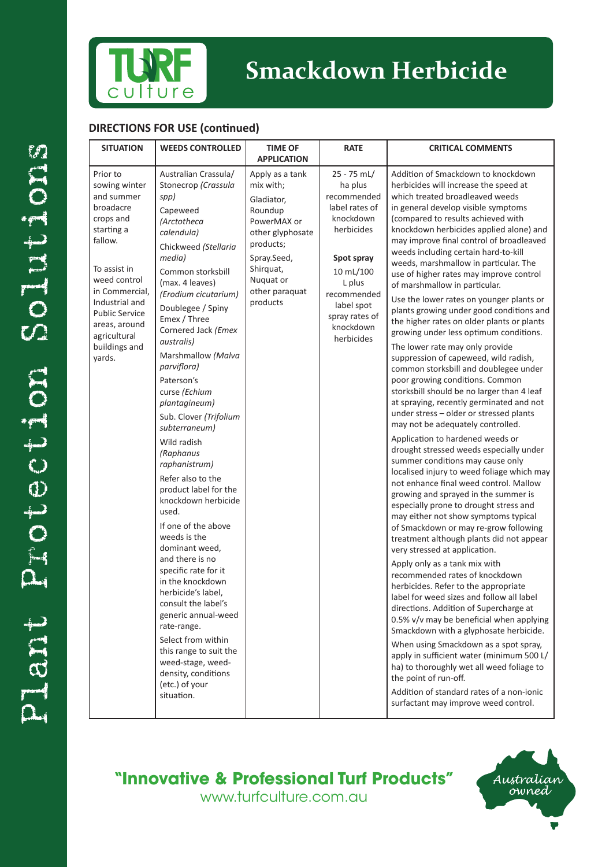

### **Smackdown Herbicide**

#### **DIRECTIONS FOR USE (continued)**

| <b>SITUATION</b>                                                                                                                                                                                                                                    | <b>WEEDS CONTROLLED</b>                                                                                                                                                                                                                                                                                                                                                                                                                                                                                                                                                                                                                                                                                                                                                                                                                                                    | <b>TIME OF</b><br><b>APPLICATION</b>                                                                                                                                         | <b>RATE</b>                                                                                                                                                                                       | <b>CRITICAL COMMENTS</b>                                                                                                                                                                                                                                                                                                                                                                                                                                                                                                                                                                                                                                                                                                                                                                                                                                                                                                                                                                                                                                                                                                                                                                                                                                                                                                                                                                                                                                                                                                                                                                                                                                                                                                                                                                                                                                                                                                                                              |
|-----------------------------------------------------------------------------------------------------------------------------------------------------------------------------------------------------------------------------------------------------|----------------------------------------------------------------------------------------------------------------------------------------------------------------------------------------------------------------------------------------------------------------------------------------------------------------------------------------------------------------------------------------------------------------------------------------------------------------------------------------------------------------------------------------------------------------------------------------------------------------------------------------------------------------------------------------------------------------------------------------------------------------------------------------------------------------------------------------------------------------------------|------------------------------------------------------------------------------------------------------------------------------------------------------------------------------|---------------------------------------------------------------------------------------------------------------------------------------------------------------------------------------------------|-----------------------------------------------------------------------------------------------------------------------------------------------------------------------------------------------------------------------------------------------------------------------------------------------------------------------------------------------------------------------------------------------------------------------------------------------------------------------------------------------------------------------------------------------------------------------------------------------------------------------------------------------------------------------------------------------------------------------------------------------------------------------------------------------------------------------------------------------------------------------------------------------------------------------------------------------------------------------------------------------------------------------------------------------------------------------------------------------------------------------------------------------------------------------------------------------------------------------------------------------------------------------------------------------------------------------------------------------------------------------------------------------------------------------------------------------------------------------------------------------------------------------------------------------------------------------------------------------------------------------------------------------------------------------------------------------------------------------------------------------------------------------------------------------------------------------------------------------------------------------------------------------------------------------------------------------------------------------|
| Prior to<br>sowing winter<br>and summer<br>broadacre<br>crops and<br>starting a<br>fallow.<br>To assist in<br>weed control<br>in Commercial,<br>Industrial and<br><b>Public Service</b><br>areas, around<br>agricultural<br>buildings and<br>yards. | Australian Crassula/<br>Stonecrop (Crassula<br>spp)<br>Capeweed<br>(Arctotheca<br>calendula)<br>Chickweed (Stellaria<br>media)<br>Common storksbill<br>(max. 4 leaves)<br>(Erodium cicutarium)<br>Doublegee / Spiny<br>Emex / Three<br>Cornered Jack (Emex<br>australis)<br>Marshmallow (Malva<br>parviflora)<br>Paterson's<br>curse (Echium<br>plantagineum)<br>Sub. Clover (Trifolium<br>subterraneum)<br>Wild radish<br>(Raphanus<br>raphanistrum)<br>Refer also to the<br>product label for the<br>knockdown herbicide<br>used.<br>If one of the above<br>weeds is the<br>dominant weed.<br>and there is no<br>specific rate for it<br>in the knockdown<br>herbicide's label.<br>consult the label's<br>generic annual-weed<br>rate-range.<br>Select from within<br>this range to suit the<br>weed-stage, weed-<br>density, conditions<br>(etc.) of your<br>situation. | Apply as a tank<br>mix with;<br>Gladiator,<br>Roundup<br>PowerMAX or<br>other glyphosate<br>products;<br>Spray.Seed,<br>Shirquat,<br>Nuquat or<br>other paraquat<br>products | 25 - 75 mL/<br>ha plus<br>recommended<br>label rates of<br>knockdown<br>herbicides<br>Spot spray<br>10 mL/100<br>L plus<br>recommended<br>label spot<br>spray rates of<br>knockdown<br>herbicides | Addition of Smackdown to knockdown<br>herbicides will increase the speed at<br>which treated broadleaved weeds<br>in general develop visible symptoms<br>(compared to results achieved with<br>knockdown herbicides applied alone) and<br>may improve final control of broadleaved<br>weeds including certain hard-to-kill<br>weeds, marshmallow in particular. The<br>use of higher rates may improve control<br>of marshmallow in particular.<br>Use the lower rates on younger plants or<br>plants growing under good conditions and<br>the higher rates on older plants or plants<br>growing under less optimum conditions.<br>The lower rate may only provide<br>suppression of capeweed, wild radish,<br>common storksbill and doublegee under<br>poor growing conditions. Common<br>storksbill should be no larger than 4 leaf<br>at spraying, recently germinated and not<br>under stress - older or stressed plants<br>may not be adequately controlled.<br>Application to hardened weeds or<br>drought stressed weeds especially under<br>summer conditions may cause only<br>localised injury to weed foliage which may<br>not enhance final weed control. Mallow<br>growing and sprayed in the summer is<br>especially prone to drought stress and<br>may either not show symptoms typical<br>of Smackdown or may re-grow following<br>treatment although plants did not appear<br>very stressed at application.<br>Apply only as a tank mix with<br>recommended rates of knockdown<br>herbicides. Refer to the appropriate<br>label for weed sizes and follow all label<br>directions. Addition of Supercharge at<br>0.5% v/v may be beneficial when applying<br>Smackdown with a glyphosate herbicide.<br>When using Smackdown as a spot spray,<br>apply in sufficient water (minimum 500 L/<br>ha) to thoroughly wet all weed foliage to<br>the point of run-off.<br>Addition of standard rates of a non-ionic<br>surfactant may improve weed control. |

### **"Innovative & Professional Turf Products"**